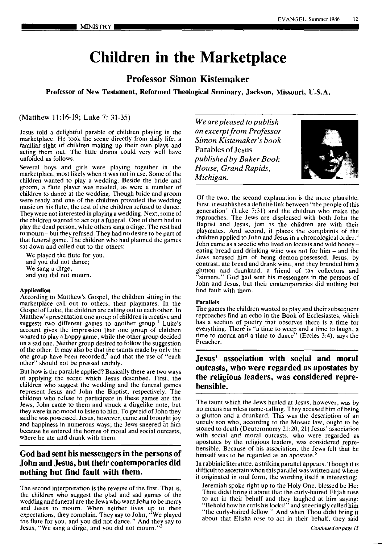# **Children in the Marketplace**

### Professor Simon Kistemaker

Professor of New Testament, Reformed Theological Seminary, Jackson, Missouri, U.S.A.

(Matthew 11:16-19; Luke 7: 31-35)

Jesus told a delightful parable of children playing in the marketplace. He took the scene directly from daily life, a familiar sight of children making up their own plays and acting them out. The little drama could very well have unfolded as follows.

Several boys and girls were playing together in the marketplace, most likely when it was not in use. Some of the children wanted to play a wedding. Beside the bride and groom, a flute player was needed, as were a number of children to dance at the wedding. Though bride and groom were ready and one of the children provided the wedding music on his flute, the rest of the children refused to dance. They were not interested in playing a wedding. Next, some of the children wanted to act out a funeral. One of them had to play the dead person, while others sang a dirge. The rest had to mourn- but they refused. They had no desire to be part of that funeral game. The children who had planned the games sat down and called out to the others:

We played the flute for you, and you did not dance; We sang a dirge, and you did not mourn.

### Application

According to Matthew's Gospel, the children sitting in the marketplace call out to others, their playmates. In the Gospel of Luke, the children are calling out to each other. In Matthew's presentation one group of children is creative and suggests two different games to another group.<sup>1</sup> Luke's account gives the impression that one group of children wanted to play a happy game, while the other group decided on a sad one. Neither group desired to follow the suggestion of the other. It may also be that the taunts made by only the one group have been recorded,<sup>2</sup> and that the use of "each other" should not be pressed unduly.

But how is the parable applied? Basically the1e are two ways of applying the scene which Jesus described. First, the children who suggest the wedding and the funeral games represent Jesus and John the Baptist, respectively. The children who refuse to participate in these games are the Jews, John came to them and struck a dirgelike note, but they were in no mood to listen to him. To get rid of John they said he was possessed. Jesus, however, came and brought joy and happiness in numerous ways; the Jews sneered at him because he entered the homes of moral and social outcasts, where he ate and drank with them.

### God had sent his messengers in the persons of John and Jesus, but their contemporaries did nothing but find fault with them.

The second interpretation is the reverse of the first. That is, the children who suggest the glad and sad games of the wedding and funeral are the Jews who want John to be merry and Jesus to mourn. When neither lives up to their expectations, they complain. They say to John, "We played the flute for you, and you did not dance." And they say to Jesus, "We sang a dirge, and you did not mourn."

*We are pleased to publish an excerpt from Professor Simon Kistemaker's book*  Parables of Jesus *published by Baker Book House, Grand Rapids, Michigan.* 



Of the two, the second explanation is the more plausible. First, it establishes a definite link between "the people of this generation" (Luke 7:31) and the children who make the reproaches. The Jews are displeased with both John the Baptist and Jesus, just as the children are with their playmates. And second, it places the complaints of the children applied to John and Jesus in a chronological order. 4 John came as a ascetic who lived on locusts and wild honey eating bread and drinking wine was not for him - and the Jews accused him of being demon-possessed. Jesus, by contrast, ate bread and drank wine, and they branded him a glutton and drunkard, a friend of tax collectors and "sinners." God had sent his messengers in the persons of John and Jesus, but their contemporaries did nothing but find fault with them.

### Parallels

The games the children wanted to play and their subsequent reproaches find an echo in the Book of Ecclesiastes, which has a section of poetry that observes there is a time for everything. There is "a time to weep and a time to laugh, a time to mourn and a time to dance" (Eccles 3:4), says the Preacher.

### Jesus' association with social and moral outcasts, who were regarded as apostates by the religious leaders, was considered reprehensible.

The taunt which the Jews hurled at Jesus, however, was by no means harmless name-calling. They accused him of being a glutton and a drunkard. This was the description of an unruly son who, according to the Mosaic law, ought to be stoned to death (Deuteronomy 21:20, 21) Jesus' association with social and moral outcasts, who were regarded as apostates by the religious leaders, was considered reprehensible. Because of his association, the Jews felt that he himself was to be regarded as an apostate.<sup>5</sup>

In rabbinic literature, a striking parallel appears. Though it is difficult to ascertain when this parallel was written and where it originated in oral form, the wording itself is interesting:

Jeremiah spoke right up to the Holy One, blessed be He: Thou didst bring it about that the curly-haired Elijah rose to act in their behalf and they laughed at him saying: "Behold how he curls his locks!" and sneeringly called him "the curly-haired fellow." And when Thou didst bring it about that Elisha rose to act in their behalf, they said